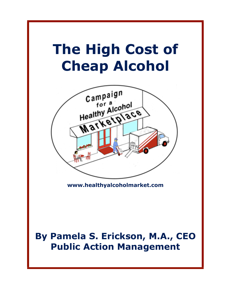# **The High Cost of Cheap Alcohol**



**[www.healthyalcoholmarket.com](http://www.healthyalcoholmarket.com)**

## **By Pamela S. Erickson, M.A., CEO Public Action Management**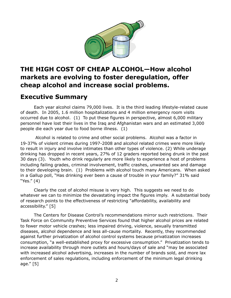

### **THE HIGH COST OF CHEAP ALCOHOL—How alcohol markets are evolving to foster deregulation, offer cheap alcohol and increase social problems.**

### **Executive Summary**

 Each year alcohol claims 79,000 lives. It is the third leading lifestyle-related cause of death. In 2005, 1.6 million hospitalizations and 4 million emergency room visits occurred due to alcohol. (1) To put these figures in perspective, almost 6,000 military personnel have lost their lives in the Iraq and Afghanistan wars and an estimated 3,000 people die each year due to food borne illness. (1)

 Alcohol is related to crime and other social problems. Alcohol was a factor in 19-37% of violent crimes during 1997-2008 and alcohol related crimes were more likely to result in injury and involve intimates than other types of violence. (2) While underage drinking has dropped in recent years, 27% of 12 graders reported being drunk in the past 30 days (3). Youth who drink regularly are more likely to experience a host of problems including failing grades, criminal involvement, traffic crashes, unwanted sex and damage to their developing brain. (1) Problems with alcohol touch many Americans. When asked in a Gallup poll, "Has drinking ever been a cause of trouble in your family?" 31% said "Yes." (4)

 Clearly the cost of alcohol misuse is very high. This suggests we need to do whatever we can to minimize the devastating impact the figures imply. A substantial body of research points to the effectiveness of restricting "affordability, availability and accessibility." [5]

 The Centers for Disease Control's recommendations mirror such restrictions. Their Task Force on Community Preventive Services found that higher alcohol prices are related to fewer motor vehicle crashes; less impaired driving, violence, sexually transmitted diseases, alcohol dependence and less all-cause mortality. Recently, they recommended against further privatization of alcohol control systems because privatization increases consumption, "a well-established proxy for excessive consumption." Privatization tends to increase availability through more outlets and hours/days of sale and "may be associated with increased alcohol advertising, increases in the number of brands sold, and more lax enforcement of sales regulations, including enforcement of the minimum legal drinking age." [5]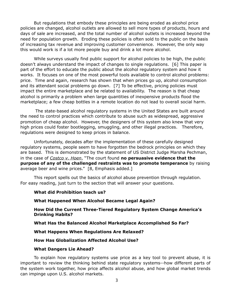But regulations that embody these principles are being eroded as alcohol price policies are changed, alcohol outlets are allowed to sell more types of products, hours and days of sale are increased, and the total number of alcohol outlets is increased beyond the need for population growth. Eroding these policies is often sold to the public on the basis of increasing tax revenue and improving customer convenience. However, the only way this would work is if a lot more people buy and drink a lot more alcohol.

While surveys usually find public support for alcohol policies to be high, the public doesn't always understand the impact of changes to single regulations. [6] This paper is part of the effort to educate the public about the alcohol regulatory system and how it works. It focuses on one of the most powerful tools available to control alcohol problems: price. Time and again, research has shown that when prices go up, alcohol consumption and its attendant social problems go down. [7] To be effective, pricing policies must impact the entire marketplace and be related to availability. The reason is that cheap alcohol is primarily a problem when large quantities of inexpensive products flood the marketplace; a few cheap bottles in a remote location do not lead to overall social harm.

 The state-based alcohol regulatory systems in the United States are built around the need to control practices which contribute to abuse such as widespread, aggressive promotion of cheap alcohol. However, the designers of this system also knew that very high prices could foster bootlegging, smuggling, and other illegal practices. Therefore, regulations were designed to keep prices in balance.

 Unfortunately, decades after the implementation of these carefully designed regulatory systems, people seem to have forgotten the bedrock principles on which they are based. This is demonstrated by the statement of US District Judge Marsha Pechman, in the case of *Costco v. Hoen*, "The court found **no persuasive evidence that the purpose of any of the challenged restraints was to promote temperance** by raising average beer and wine prices." [8, Emphasis added.]

 This report spells out the basics of alcohol abuse prevention through regulation. For easy reading, just turn to the section that will answer your questions.

#### **What did Prohibition teach us?**

#### **What Happened When Alcohol Became Legal Again?**

 **How Did the Current Three-Tiered Regulatory System Change America's Drinking Habits?**

 **What Has the Balanced Alcohol Marketplace Accomplished So Far?** 

 **What Happens When Regulations Are Relaxed?**

#### **How Has Globalization Affected Alcohol Use?**

#### **What Dangers Lie Ahead?**

 To explain how regulatory systems use price as a key tool to prevent abuse, it is important to review the thinking behind state regulatory systems--how different parts of the system work together, how price affects alcohol abuse, and how global market trends can impinge upon U.S. alcohol markets.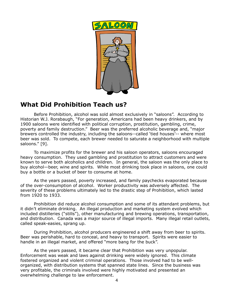

### **What Did Prohibition Teach us?**

 Before Prohibition, alcohol was sold almost exclusively in "saloons". According to Historian W.J. Rorabaugh, "For generation, Americans had been heavy drinkers, and by 1900 saloons were identified with political corruption, prostitution, gambling, crime, poverty and family destruction." Beer was the preferred alcoholic beverage and, "major brewers controlled the industry, including the saloons--called 'tied houses'-- where most beer was sold. To compete, each brewer needed to saturate a neighborhood with multiple saloons." [9].

 To maximize profits for the brewer and his saloon operators, saloons encouraged heavy consumption. They used gambling and prostitution to attract customers and were known to serve both alcoholics and children. In general, the saloon was the only place to buy alcohol—beer, wine and spirits. While most drinking took place in saloons, one could buy a bottle or a bucket of beer to consume at home.

 As the years passed, poverty increased, and family paychecks evaporated because of the over-consumption of alcohol. Worker productivity was adversely affected. The severity of these problems ultimately led to the drastic step of Prohibition, which lasted from 1920 to 1933.

 Prohibition did reduce alcohol consumption and some of its attendant problems, but it didn't eliminate drinking. An illegal production and marketing system evolved which included distilleries ("stills"), other manufacturing and brewing operations, transportation, and distribution. Canada was a major source of illegal imports. Many illegal retail outlets, called speak-easies, sprang up.

 During Prohibition, alcohol producers engineered a shift away from beer to spirits. Beer was perishable, hard to conceal, and heavy to transport. Spirits were easier to handle in an illegal market, and offered "more bang for the buck".

 As the years passed, it became clear that Prohibition was very unpopular. Enforcement was weak and laws against drinking were widely ignored. This climate fostered organized and violent criminal operations. Those involved had to be wellorganized, with distribution systems that spanned state lines. Since the business was very profitable, the criminals involved were highly motivated and presented an overwhelming challenge to law enforcement.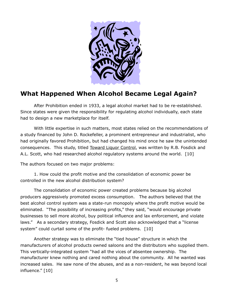

### **What Happened When Alcohol Became Legal Again?**

 After Prohibition ended in 1933, a legal alcohol market had to be re-established. Since states were given the responsibility for regulating alcohol individually, each state had to design a new marketplace for itself.

 With little expertise in such matters, most states relied on the recommendations of a study financed by John D. Rockefeller, a prominent entrepreneur and industrialist, who had originally favored Prohibition, but had changed his mind once he saw the unintended consequences. This study, titled Toward Liquor Control, was written by R.B. Fosdick and A.L. Scott, who had researched alcohol regulatory systems around the world. [10]

The authors focused on two major problems:

 1. How could the profit motive and the consolidation of economic power be controlled in the new alcohol distribution system?

 The consolidation of economic power created problems because big alcohol producers aggressively promoted excess consumption. The authors believed that the best alcohol control system was a state-run monopoly where the profit motive would be eliminated. "The possibility of increasing profits," they said, "would encourage private businesses to sell more alcohol, buy political influence and lax enforcement, and violate laws." As a secondary strategy, Fosdick and Scott also acknowledged that a "license system" could curtail some of the profit- fueled problems. [10]

 Another strategy was to eliminate the "tied house" structure in which the manufacturers of alcohol products owned saloons and the distributors who supplied them. This vertically-integrated system "had all the vices of absentee ownership. The manufacturer knew nothing and cared nothing about the community. All he wanted was increased sales. He saw none of the abuses, and as a non-resident, he was beyond local influence." [10]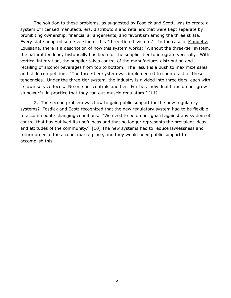The solution to these problems, as suggested by Fosdick and Scott, was to create a system of licensed manufacturers, distributors and retailers that were kept separate by prohibiting ownership, financial arrangements, and favoritism among the three strata. Every state adopted some version of this "three-tiered system." In the case of Manuel v. Louisiana, there is a description of how this system works: "Without the three-tier system, the natural tendency historically has been for the supplier tier to integrate vertically. With vertical integration, the supplier takes control of the manufacture, distribution and retailing of alcohol beverages from top to bottom. The result is a push to maximize sales and stifle competition. "The three-tier system was implemented to counteract all these tendencies. Under the three-tier system, the industry is divided into three tiers, each with its own service focus. No one tier controls another. Further, individual firms do not grow so powerful in practice that they can out-muscle regulators." [11]

 2. The second problem was how to gain public support for the new regulatory systems? Fosdick and Scott recognized that the new regulatory system had to be flexible to accommodate changing conditions. "We need to be on our guard against any system of control that has outlived its usefulness and that no longer represents the prevalent ideas and attitudes of the community." [10] The new systems had to reduce lawlessness and return order to the alcohol marketplace, and they would need public support to accomplish this.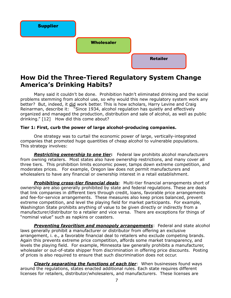

### **How Did the Three-Tiered Regulatory System Change America's Drinking Habits?**

Many said it couldn't be done. Prohibition hadn't eliminated drinking and the social problems stemming from alcohol use, so why would this new regulatory system work any better? But, indeed, it did work better. This is how scholars, Harry Levine and Craig Reinarman, describe it: "Since 1934, alcohol regulation has quietly and effectively organized and managed the production, distribution and sale of alcohol, as well as public drinking." [12] How did this come about?

#### **Tier 1: First, curb the power of large alcohol-producing companies.**

 One strategy was to curtail the economic power of large, vertically-integrated companies that promoted huge quantities of cheap alcohol to vulnerable populations. This strategy involves:

*Restricting ownership to one tier***:** Federal law prohibits alcohol manufacturers from owning retailers. Most states also have ownership restrictions, and many cover all three tiers. This prohibition limits economic power, tamps down extreme competition, and moderates prices. For example, Oregon law does not permit manufacturers and wholesalers to have any financial or ownership interest in a retail establishment.

*Prohibiting cross-tier financial deals*: Multi-tier financial arrangements short of ownership are also generally prohibited by state and federal regulations. These are deals that link companies in different tiers through credit, loans, favorable price arrangements and fee-for-service arrangements. These measures also keep prices balanced, prevent extreme competition, and level the playing field for market participants. For example, Washington State prohibits anything of value to be given directly or indirectly from a manufacturer/distributor to a retailer and vice versa. There are exceptions for things of "nominal value" such as napkins or coasters.

*Preventing favoritism and monopoly arrangements*: Federal and state alcohol laws generally prohibit a manufacturer or distributor from offering an exclusive arrangement, i. e., a favorable financial deal to retailers who exclude competing brands. Again this prevents extreme price competition, affords some market transparency, and levels the playing field. For example, Minnesota law generally prohibits a manufacturer, wholesaler or out-of-state shipper from discrimination in offering price discounts. Posting of prices is also required to ensure that such discrimination does not occur.

*Clearly separating the functions of each tier*: When businesses found ways around the regulations, states enacted additional rules. Each state requires different licenses for retailers, distributor/wholesalers, and manufacturers. These licenses are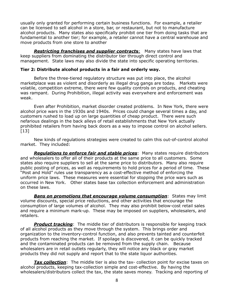usually only granted for performing certain business functions. For example, a retailer can be licensed to sell alcohol in a store, bar, or restaurant, but not to manufacture alcohol products. Many states also specifically prohibit one tier from doing tasks that are fundamental to another tier; for example, a retailer cannot have a central warehouse and move products from one store to another

*Restricting franchises and supplier contract***s**: Many states have laws that keep suppliers from dominating the distributor tier through direct control and management. State laws may also divide the state into specific operating territories.

#### **Tier 2: Distribute alcohol products in a fair and orderly way.**

 Before the three-tiered regulatory structure was put into place, the alcohol marketplace was as violent and disorderly as illegal drug gangs are today. Markets were volatile, competition extreme, there were few quality controls on products, and cheating was rampant. During Prohibition, illegal activity was everywhere and enforcement was weak.

 Even after Prohibition, market disorder created problems. In New York, there were alcohol price wars in the 1930s and 1940s. Prices could change several times a day, and customers rushed to load up on large quantities of cheap product. There were such nefarious dealings in the back alleys of retail establishments that New York actually prohibited retailers from having back doors as a way to impose control on alcohol sellers.  $[13]$ 

 New kinds of regulations strategies were created to calm this out-of-control alcohol market. They included:

*Regulations to enforce fair and stable prices*: Many states require distributors and wholesalers to offer all of their products at the same price to all customers. Some states also require suppliers to sell at the same price to distributors. Many also require public posting of prices, as well as requirements to hold prices for a period of time. These "Post and Hold" rules use transparency as a cost-effective method of enforcing the uniform price laws. These measures were essential for stopping the price wars such as occurred in New York. Other states base tax collection enforcement and administration on these laws.

*Bans on promotions that encourage volume consumption*: States may limit volume discounts, special price reductions, and other activities that encourage the consumption of large volumes of alcohol. They may also prohibit below-cost retail sales and require a minimum mark-up. These may be imposed on suppliers, wholesalers, and retailers.

*Product tracking*: The middle tier of distributors is responsible for keeping track of all alcohol products as they move through the system. This brings order and organization to the inventory-control function, and also prevents tainted and counterfeit products from reaching the market. If spoilage is discovered, it can be quickly tracked and the contaminated products can be removed from the supply chain. Because wholesalers are in retail outlets regularly, they will notice any black or gray market products they did not supply and report that to the state liquor authorities.

*Tax collection*: The middle tier is also the tax- collection point for excise taxes on alcohol products, keeping tax-collection simple and cost-effective. By having the wholesalers/distributors collect the tax, the state saves money. Tracking and reporting of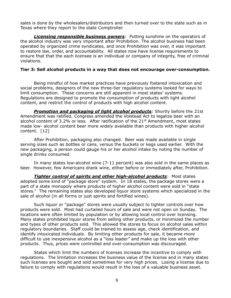sales is done by the wholesalers/distributors and then turned over to the state such as in Texas where they report to the state Comptroller.

*Licensing responsible business owners*: Putting sunshine on the operators of the alcohol industry was very important after Prohibition. The alcohol business had been operated by organized crime syndicates, and once Prohibition was over, it was important to restore law, order, and accountability. All states now have license requirements to ensure that that the each licensee is an individual or company of integrity, free of criminal violations.

#### **Tier 3: Sell alcohol products in a way that does not encourage over-consumption.**

 Being mindful of how market practices have previously fostered intoxication and social problems, designers of the new three-tier regulatory systems looked for ways to limit consumption. These concerns are still apparent in most states' systems. Regulations are designed to promote the consumption of products with light alcohol content, and restrict the control of products with high alcohol content.

*Promotion and packaging of light alcohol products*: Shortly before the 21st Amendment was ratified, Congress amended the Volstead Act to legalize beer with an alcohol content of 3.2% or less. After ratification of the 21<sup>st</sup> Amendment, most states made low- alcohol content beer more widely available than products with higher alcohol content. [12]

 After Prohibition, packaging also changed. Beer was made available in single serving sizes such as bottles or cans, versus the buckets or kegs used earlier. With the new packaging, a person could gauge his or her alcohol intake by noting the number of single drinks consumed.

 In many states low-alcohol wine (7-11 percent) was also sold in the same places as beer. However, few Americans drank wine, either before or immediately after, Prohibition.

*Tighter control of spirits and other high-alcohol products***: Most states** adopted some kind of "package store" system. In 18 states, the package stores were a part of a state monopoly where products of higher alcohol content were sold in "state stores." The remaining states also developed liquor store systems which specialized in the sale of alcohol (in all forms or just spirits and fortified wines).

 Such liquor or "package" stores were usually subject to tighter controls over how products were sold. Most had curtailed hours of sale and were not open on Sunday. The locations were often limited by population or by allowing local control over licensing. Many states prohibited liquor stores from selling other products, or minimized the number and types of other products sold. This allowed the stores to focus on alcohol sales within regulatory boundaries. Staff could be trained to assess age, check identification, and identify intoxicated individuals. By limiting other products for sale, it became more difficult to use inexpensive alcohol as a "loss leader" and make up the loss with other products. Thus, prices were controlled and over-consumption was discouraged.

States which limit the numbers of licenses increase the incentive to comply with regulations. The limitation increases the business value of the license and in many states such licenses are bought and sold sometimes for very high prices. Losing a license due to failure to comply with regulations would result in the loss of a valuable business asset.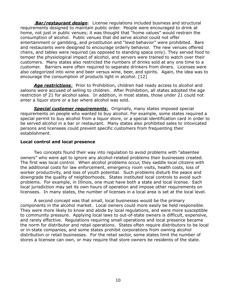*Bar/restaurant design*: License regulations included business and structural requirements designed to maintain public order. People were encouraged to drink at home, not just in public venues; it was thought that "home values" would restrain the consumption of alcohol. Public venues that did serve alcohol could not offer entertainment or gambling, and prostitution and "lewd behavior" were prohibited. Bars and restaurants were designed to encourage orderly behavior. The new venues offered chairs, and tables were required (as opposed to standing space only). They served food to temper the physiological impact of alcohol, and servers were trained to watch over their customers. Many states also restricted the numbers of drinks sold at any one time to a customer. Barriers were often required to separate drinkers from diners. Licenses were also categorized into wine and beer versus wine, beer, and spirits. Again, the idea was to encourage the consumption of products light in alcohol. [12]

*Age restrictions:* Prior to Prohibition, children had ready access to alcohol and saloons were accused of selling to children. After Prohibition, all states adopted the age restriction of 21 for alcohol sales. In addition, in most states, those under 21 could not enter a liquor store or a bar where alcohol was sold.

*Special customer requirements:* Originally, many states imposed special requirements on people who wanted to buy alcohol. For example, some states required a special permit to buy alcohol from a liquor store, or a special identification card in order to be served alcohol in a bar or restaurant. Many states also prohibited sales to intoxicated persons and licensees could prevent specific customers from frequenting their establishment.

#### **Local control and local presence**

Two concepts found their way into regulation to avoid problems with "absentee owners" who were apt to ignore any alcohol-related problems their businesses created. The first was local control. When alcohol problems occur, they saddle local citizens with the additional costs for law enforcement, emergency room visits, health costs, loss of worker productivity, and loss of youth potential. Such problems disturb the peace and downgrade the quality of neighborhoods. States instituted local controls to avoid such problems. For example, in Illinois, one must have both a state and local license. Each local jurisdiction may set its own hours of operation and impose other requirements on licensees. In many states, the number of licenses in a local area is set at the local level.

 A second concept was that small, local businesses would be the primary components in the alcohol market. Local owners could more easily be held responsible. They were more likely to know and abide by local regulations, and were more susceptible to community pressure. Applying local laws to out-of-state owners is difficult, expensive, and rarely effective. Regulations requiring small operations and local presence became the norm for distributor and retail operations. States often require distributors to be local or in-state companies, and some states prohibit corporations from owning alcohol distribution or retail businesses. For the retail sector, some states limit the number of stores a licensee can own, or may require that store owners be residents of the state.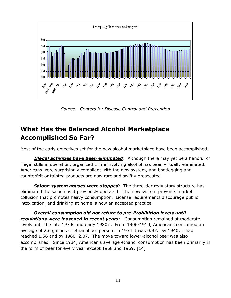

*Source: Centers for Disease Control and Prevention*

### **What Has the Balanced Alcohol Marketplace Accomplished So Far?**

Most of the early objectives set for the new alcohol marketplace have been accomplished:

*Illegal activities have been eliminated*: Although there may yet be a handful of illegal stills in operation, organized crime involving alcohol has been virtually eliminated. Americans were surprisingly compliant with the new system, and bootlegging and counterfeit or tainted products are now rare and swiftly prosecuted.

**Saloon system abuses were stopped**: The three-tier regulatory structure has eliminated the saloon as it previously operated. The new system prevents market collusion that promotes heavy consumption. License requirements discourage public intoxication, and drinking at home is now an accepted practice.

*Overall consumption did not return to pre-Prohibition levels until regulations were loosened in recent years*: Consumption remained at moderate levels until the late 1970s and early 1980's. From 1906-1910, Americans consumed an average of 2.6 gallons of ethanol per person; in 1934 it was 0.97. By 1940, it had reached 1.56 and by 1960, 2.07. The move toward lower-alcohol beer was also accomplished. Since 1934, American's average ethanol consumption has been primarily in the form of beer for every year except 1968 and 1969. [14]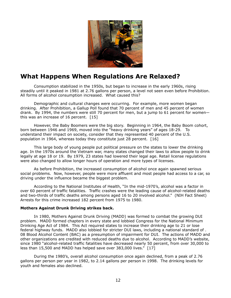

### **What Happens When Regulations Are Relaxed?**

Consumption stabilized in the 1950s, but began to increase in the early 1960s, rising steadily until it peaked in 1981 at 2.76 gallons per person, a level not seen even before Prohibition. All forms of alcohol consumption increased. What caused this?

 Demographic and cultural changes were occurring. For example, more women began drinking. After Prohibition, a Gallup Poll found that 70 percent of men and 45 percent of women drank. By 1994, the numbers were still 70 percent for men, but a jump to 61 percent for women this was an increase of 16 percent. [15]

 However, the Baby Boomers were the big story. Beginning in 1964, the Baby Boom cohort, born between 1946 and 1969, moved into the "heavy drinking years" of ages 18-29. To understand their impact on society, consider that they represented 40 percent of the U.S. population in 1964, whereas today they constitute just 28 percent. [16]

 This large body of young people put political pressure on the states to lower the drinking age. In the 1970s around the Vietnam war, many states changed their laws to allow people to drink legally at age 18 or 19. By 1979, 23 states had lowered their legal age. Retail license regulations were also changed to allow longer hours of operation and more types of licenses.

 As before Prohibition, the increased consumption of alcohol once again spawned serious social problems. Now, however, people were more affluent and most people had access to a car, so driving under the influence became the biggest problem.

 According to the National Institutes of Health, "In the mid-1970's, alcohol was a factor in over 60 percent of traffic fatalities. Traffic crashes were the leading cause of alcohol-related deaths and two-thirds of traffic deaths among persons aged 16 to 20 involved alcohol." (NIH Fact Sheet) Arrests for this crime increased 182 percent from 1975 to 1980.

#### **Mothers Against Drunk Driving strikes back.**

 In 1980, Mothers Against Drunk Driving (MADD) was formed to combat the growing DUI problem. MADD formed chapters in every state and lobbied Congress for the National Minimum Drinking Age Act of 1984. This Act required states to increase their drinking age to 21 or lose federal highway funds. MADD also lobbied for stricter DUI laws, including a national standard of . 08 Blood Alcohol Content (BAC) as a presumption of impairment for DUI. The actions of MADD and other organizations are credited with reduced deaths due to alcohol. According to MADD's website, since 1980 "alcohol-related traffic fatalities have decreased nearly 50 percent, from over 30,000 to less than 15,500 and MADD has helped save over 383,000 lives." [17]

 During the 1980's, overall alcohol consumption once again declined, from a peak of 2.76 gallons per person per year in 1982, to 2.14 gallons per person in 1998. The drinking levels for youth and females also declined.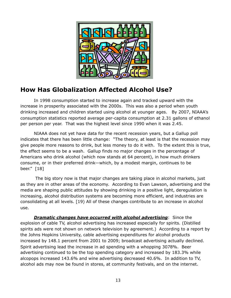

### **How Has Globalization Affected Alcohol Use?**

In 1998 consumption started to increase again and tracked upward with the increase in prosperity associated with the 2000s. This was also a period when youth drinking increased and children started using alcohol at younger ages. By 2007, NIAAA's consumption statistics reported average per-capita consumption at 2.31 gallons of ethanol per person per year. That was the highest level since 1990 when it was 2.45.

NIAAA does not yet have data for the recent recession years, but a Gallup poll indicates that there has been little change: "The theory, at least is that the recession may give people more reasons to drink, but less money to do it with. To the extent this is true, the effect seems to be a wash. Gallup finds no major changes in the percentage of Americans who drink alcohol (which now stands at 64 percent), in how much drinkers consume, or in their preferred drink—which, by a modest margin, continues to be beer." [18]

 The big story now is that major changes are taking place in alcohol markets, just as they are in other areas of the economy. According to Evan Lawson, advertising and the media are shaping public attitudes by showing drinking in a positive light, deregulation is increasing, alcohol distribution systems are becoming more efficient, and industries are consolidating at all levels. [19) All of these changes contribute to an increase in alcohol use.

*Dramatic changes have occurred with alcohol advertising*: Since the explosion of cable TV, alcohol advertising has increased especially for spirits. (Distilled spirits ads were not shown on network television by agreement.) According to a report by the Johns Hopkins University, cable advertising expenditures for alcohol products increased by 148.1 percent from 2001 to 2009; broadcast advertising actually declined. Spirit advertising lead the increase in ad spending with a whopping 3078%. Beer advertising continued to be the top spending category and increased by 183.3% while alcopops increased 143.6% and wine advertising decreased 40.6%. In addition to TV, alcohol ads may now be found in stores, at community festivals, and on the internet.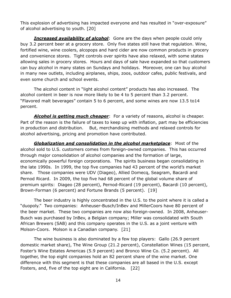This explosion of advertising has impacted everyone and has resulted in "over-exposure" of alcohol advertising to youth. [20]

*Increased availability of alcohol*: Gone are the days when people could only buy 3.2 percent beer at a grocery store. Only five states still have that regulation. Wine, fortified wine, wine coolers, alcopops and hard cider are now common products in grocery and convenience stores. Tight controls over spirits have also relaxed, with some states allowing sales in grocery stores. Hours and days of sale have expanded so that customers can buy alcohol in many states on Sundays and holidays. Moreover, one can buy alcohol in many new outlets, including airplanes, ships, zoos, outdoor cafes, public festivals, and even some church and school events.

 The alcohol content in "light alcohol content" products has also increased. The alcohol content in beer is now more likely to be 4 to 5 percent than 3.2 percent. "Flavored malt beverages" contain 5 to 6 percent, and some wines are now 13.5 to14 percent.

*Alcohol is getting much cheaper*: For a variety of reasons, alcohol is cheaper. Part of the reason is the failure of taxes to keep up with inflation, part may be efficiencies in production and distribution. But, merchandising methods and relaxed controls for alcohol advertising, pricing and promotion have contributed.

*Globalization and consolidation in the alcohol marketplace*: Most of the alcohol sold to U.S. customers comes from foreign-owned companies. This has occurred through major consolidation of alcohol companies and the formation of large, economically powerful foreign corporations. The spirits business began consolidating in the late 1990s. In 1999, the top five companies had 43 percent of the world's market share. Those companies were UDV (Diageo), Allied Domecq, Seagram, Bacardi and Pernod Ricard. In 2009, the top five had 68 percent of the global volume share of premium spirits: Diageo (28 percent), Pernod-Ricard (19 percent), Bacardi (10 percent), Brown-Forman (6 percent) and Fortune Brands (5 percent). [19]

The beer industry is highly concentrated in the U.S. to the point where it is called a "duopoly." Two companies: Anheuser-Busch/InBev and MillerCoors have 80 percent of the beer market. These two companies are now also foreign-owned. In 2008, Anheuser-Busch was purchased by InBev, a Belgian company; Miller was consolidated with South African Brewers (SAB) and this company operates in the U.S. as a joint venture with Molson-Coors. Molson is a Canadian company. [21]

The wine business is also dominated by a few top players: Gallo (26.9 percent domestic market share), The Wine Group (21.2 percent), Constellation Wines (15 percent, Foster's Wine Estates Americas (5.9 percent) and Bronco Wine Co. (5.2 percent). All together, the top eight companies hold an 82 percent share of the wine market. One difference with this segment is that these companies are all based in the U.S. except Fosters, and, five of the top eight are in California. [22]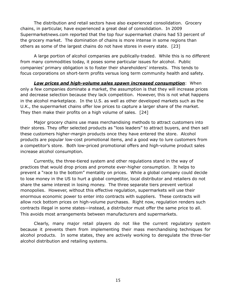The distribution and retail sectors have also experienced consolidation. Grocery chains, in particular, have experienced a great deal of consolidation. In 2009 Supermarketnews.com reported that the top four supermarket chains had 53 percent of the grocery market. The domination of chains is more intense in some regions than others as some of the largest chains do not have stores in every state. [23]

A large portion of alcohol companies are publically-traded. While this is no different from many commodities today, it poses some particular issues for alcohol. Public companies' primary obligation is to foster their shareholders' interests. This tends to focus corporations on short-term profits versus long term community health and safety.

*Low prices and high-volume sales spawn increased consumption*: When only a few companies dominate a market, the assumption is that they will increase prices and decrease selection because they lack competition. However, this is not what happens in the alcohol marketplace. In the U.S. as well as other developed markets such as the U.K., the supermarket chains offer low prices to capture a larger share of the market. They then make their profits on a high volume of sales. [24]

Major grocery chains use mass merchandising methods to attract customers into their stores. They offer selected products as "loss leaders" to attract buyers, and then sell these customers higher-margin products once they have entered the store. Alcohol products are popular low-cost promotional items, and a good way to lure customers from a competitor's store. Both low-priced promotional offers and high-volume product sales increase alcohol consumption.

Currently, the three-tiered system and other regulations stand in the way of practices that would drop prices and promote ever-higher consumption. It helps to prevent a "race to the bottom" mentality on prices. While a global company could decide to lose money in the US to hurt a global competitor, local distributor and retailers do not share the same interest in losing money. The three separate tiers prevent vertical monopolies. However, without this effective regulation, supermarkets will use their enormous economic power to enter into contracts with suppliers. These contracts will allow rock bottom prices on high-volume purchases. Right now, regulation renders such contracts illegal in some states—instead, a distributor must offer the same price to all. This avoids most arrangements between manufacturers and supermarkets.

Clearly, many major retail players do not like the current regulatory system because it prevents them from implementing their mass merchandising techniques for alcohol products. In some states, they are actively working to deregulate the three-tier alcohol distribution and retailing systems.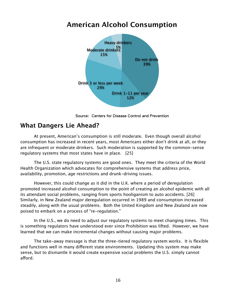### **American Alcohol Consumption**



Source: Centers for Disease Control and Prevention

### **What Dangers Lie Ahead?**

At present, American's consumption is still moderate. Even though overall alcohol consumption has increased in recent years, most Americans either don't drink at all, or they are infrequent or moderate drinkers. Such moderation is supported by the common-sense regulatory systems that most states have in place. [25]

The U.S. state regulatory systems are good ones. They meet the criteria of the World Health Organization which advocates for comprehensive systems that address price, availability, promotion, age restrictions and drunk-driving issues.

However, this could change as it did in the U.K. where a period of deregulation promoted increased alcohol consumption to the point of creating an alcohol epidemic with all its attendant social problems, ranging from sports hooliganism to auto accidents. [26] Similarly, in New Zealand major deregulation occurred in 1989 and consumption increased steadily, along with the usual problems. Both the United Kingdom and New Zealand are now poised to embark on a process of "re-regulation."

In the U.S., we do need to adjust our regulatory systems to meet changing times. This is something regulators have understood ever since Prohibition was lifted. However, we have learned that we can make incremental changes without causing major problems.

The take-away message is that the three-tiered regulatory system works. It is flexible and functions well in many different state environments. Updating this system may make sense, but to dismantle it would create expensive social problems the U.S. simply cannot afford.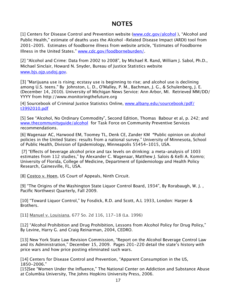### **NOTES**

[1] Centers for Disease Control and Prevention website [\(www.cdc.gov/alcohol](http://www.cdc.gov/alcohol)), "Alcohol and Public Health," estimate of deaths uses the Alcohol –Related Disease Impact (ARDI) tool from 2001-2005. Estimates of foodborne illness from website article, "Estimates of Foodborne Illness in the United States." [www.cdc.gov/foodborneburden/.](http://www.cdc.gov/foodborneburden/)

[2] "Alcohol and Crime: Data from 2002 to 2008", by Michael R. Rand, William J. Sabol, Ph.D., Michael Sinclair, Howard N. Snyder, Bureau of Justice Statistics website [www.bjs.ojp.usdoj.gov](http://www.bjs.ojp.usdoj.gov).

[3] "Marijuana use is rising; ecstasy use is beginning to rise; and alcohol use is declining among U.S. teens." By Johnston, L. D., O'Malley, P. M., Bachman, J. G., & Schulenberg, J. E. (December 14, 2010). University of Michigan News Service: Ann Arbor, MI. Retrieved MM/DD/ YYYY from http://www.monitoringthefuture.org

[4] Sourcebook of Criminal Justice Statistics Online, [www.albany.edu/sourcebook/pdf/](http://www.albany.edu/sourcebook/pdf/t3992010.pdf) [t3992010.pdf](http://www.albany.edu/sourcebook/pdf/t3992010.pdf)

[5] See "Alcohol, No Ordinary Commodity", Second Edition, Thomas Babour et al, p. 242; and [www.thecommunityguide/alcohol](http://www.thecommunityguide/alcohol) for Task Force on Community Preventive Services recommendations.

[6] [Wagenaar AC](http://www.ncbi.nlm.nih.gov/pubmed?term=%22Wagenaar%20AC%22%5BAuthor%5D), [Harwood EM,](http://www.ncbi.nlm.nih.gov/pubmed?term=%22Harwood%20EM%22%5BAuthor%5D) [Toomey TL,](http://www.ncbi.nlm.nih.gov/pubmed?term=%22Toomey%20TL%22%5BAuthor%5D) [Denk CE](http://www.ncbi.nlm.nih.gov/pubmed?term=%22Denk%20CE%22%5BAuthor%5D), [Zander KM](http://www.ncbi.nlm.nih.gov/pubmed?term=%22Zander%20KM%22%5BAuthor%5D) **"**Public opinion on alcohol policies in the United States: results from a national survey." University of Minnesota, School of Public Health, Division of Epidemiology, Minneapolis 55454-1015, USA.

[7] "Effects of beverage alcohol price and tax levels on drinking: a meta-analysis of 1003 estimates from 112 studies," by Alexander C. Wagenaar, Matthew J. Salois & Kelli A. Komro; University of Florida, College of Medicine, Department of Epidemiology and Health Policy Research, Gainesville, FL, USA.

[8] Costco v. Hoen, US Court of Appeals, Ninth Circuit.

[9] "The Origins of the Washington State Liquor Control Board, 1934", By Rorabaugh, W. J. , Pacific Northwest Quarterly, Fall 2009.

[10] "Toward Liquor Control," by Fosdick, R.D. and Scott, A.L 1933, London: Harper & Brothers.

[11] Manuel v. Louisiana, 677 So. 2d 116, 117-18 (La. 1996)

[12] "Alcohol Prohibition and Drug Prohibition, Lessons from Alcohol Policy for Drug Policy," By Levine, Harry G. and Craig Reinarman, 2004, CEDRO.

[13] New York State Law Revision Commission, "Report on the Alcohol Beverage Control Law and its Administration," December 15, 2009. Pages 201-220 detail the state's history with price wars and how price posting eliminated such wars.

[14] Centers for Disease Control and Prevention, "Apparent Consumption in the US, 1850-2006."

[15]See "Women Under the Influence," The National Center on Addiction and Substance Abuse at Columbia University, The Johns Hopkins University Press, 2006.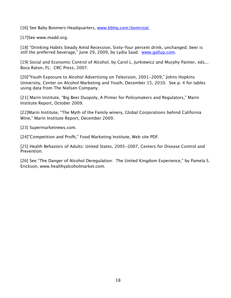[16] See Baby Boomers Headquarters, [www.bbhq.com/bomrstat](http://www.bbhq.com/bomrstat).

[17]See www.madd.org.

[18] "Drinking Habits Steady Amid Recession, Sixty-four percent drink, unchanged; beer is still the preferred beverage," June 29, 2009, by Lydia Saad. [www.gallup.com.](http://www.gallup.com)

[19] Social and Economic Control of Alcohol, by Carol L. Jurkiewicz and Murphy Painter, eds... Boca Raton, FL: CRC Press, 2007.

[20]"Youth Exposure to Alcohol Advertising on Television, 2001-2009," Johns Hopkins University, Center on Alcohol Marketing and Youth, December 15, 2010. See p. 4 for tables using data from The Nielsen Company.

[21] Marin Institute, "Big Beer Duopoly, A Primer for Policymakers and Regulators," Marin Institute Report, October 2009.

[22]Marin Institute, "The Myth of the Family winery, Global Corporations behind California Wine," Marin Institute Report, December 2009.

[23] Supermarketnews.com.

[24]"Competition and Profit," Food Marketing Institute, Web site PDF.

[25] Health Behaviors of Adults: United States, 2005-2007, Centers for Disease Control and Prevention.

[26] See "The Danger of Alcohol Deregulation: The United Kingdom Experience," by Pamela S. Erickson, www.healthyalcoholmarket.com.